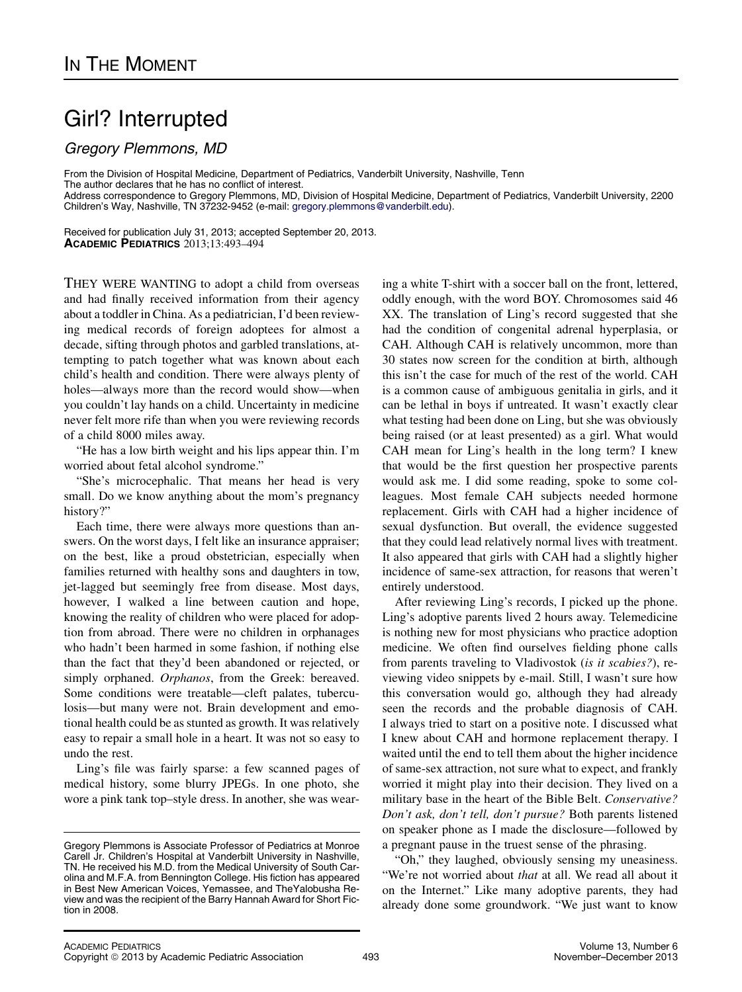## Girl? Interrupted

Gregory Plemmons, MD

From the Division of Hospital Medicine, Department of Pediatrics, Vanderbilt University, Nashville, Tenn

The author declares that he has no conflict of interest.

Address correspondence to Gregory Plemmons, MD, Division of Hospital Medicine, Department of Pediatrics, Vanderbilt University, 2200 Children's Way, Nashville, TN 37232-9452 (e-mail: [gregory.plemmons@vanderbilt.edu\)](mailto:gregory.plemmons@vanderbilt.edu).

Received for publication July 31, 2013; accepted September 20, 2013. ACADEMIC PEDIATRICS 2013;13:493–494

THEY WERE WANTING to adopt a child from overseas and had finally received information from their agency about a toddler in China. As a pediatrician, I'd been reviewing medical records of foreign adoptees for almost a decade, sifting through photos and garbled translations, attempting to patch together what was known about each child's health and condition. There were always plenty of holes—always more than the record would show—when you couldn't lay hands on a child. Uncertainty in medicine never felt more rife than when you were reviewing records of a child 8000 miles away.

"He has a low birth weight and his lips appear thin. I'm worried about fetal alcohol syndrome."

"She's microcephalic. That means her head is very small. Do we know anything about the mom's pregnancy history?"

Each time, there were always more questions than answers. On the worst days, I felt like an insurance appraiser; on the best, like a proud obstetrician, especially when families returned with healthy sons and daughters in tow, jet-lagged but seemingly free from disease. Most days, however, I walked a line between caution and hope, knowing the reality of children who were placed for adoption from abroad. There were no children in orphanages who hadn't been harmed in some fashion, if nothing else than the fact that they'd been abandoned or rejected, or simply orphaned. Orphanos, from the Greek: bereaved. Some conditions were treatable—cleft palates, tuberculosis—but many were not. Brain development and emotional health could be as stunted as growth. It was relatively easy to repair a small hole in a heart. It was not so easy to undo the rest.

Ling's file was fairly sparse: a few scanned pages of medical history, some blurry JPEGs. In one photo, she wore a pink tank top–style dress. In another, she was wear-

ing a white T-shirt with a soccer ball on the front, lettered, oddly enough, with the word BOY. Chromosomes said 46 XX. The translation of Ling's record suggested that she had the condition of congenital adrenal hyperplasia, or CAH. Although CAH is relatively uncommon, more than 30 states now screen for the condition at birth, although this isn't the case for much of the rest of the world. CAH is a common cause of ambiguous genitalia in girls, and it can be lethal in boys if untreated. It wasn't exactly clear what testing had been done on Ling, but she was obviously being raised (or at least presented) as a girl. What would CAH mean for Ling's health in the long term? I knew that would be the first question her prospective parents would ask me. I did some reading, spoke to some colleagues. Most female CAH subjects needed hormone replacement. Girls with CAH had a higher incidence of sexual dysfunction. But overall, the evidence suggested that they could lead relatively normal lives with treatment. It also appeared that girls with CAH had a slightly higher incidence of same-sex attraction, for reasons that weren't entirely understood.

After reviewing Ling's records, I picked up the phone. Ling's adoptive parents lived 2 hours away. Telemedicine is nothing new for most physicians who practice adoption medicine. We often find ourselves fielding phone calls from parents traveling to Vladivostok (is it scabies?), reviewing video snippets by e-mail. Still, I wasn't sure how this conversation would go, although they had already seen the records and the probable diagnosis of CAH. I always tried to start on a positive note. I discussed what I knew about CAH and hormone replacement therapy. I waited until the end to tell them about the higher incidence of same-sex attraction, not sure what to expect, and frankly worried it might play into their decision. They lived on a military base in the heart of the Bible Belt. Conservative? Don't ask, don't tell, don't pursue? Both parents listened on speaker phone as I made the disclosure—followed by a pregnant pause in the truest sense of the phrasing.

"Oh," they laughed, obviously sensing my uneasiness. "We're not worried about that at all. We read all about it on the Internet." Like many adoptive parents, they had already done some groundwork. "We just want to know

Gregory Plemmons is Associate Professor of Pediatrics at Monroe Carell Jr. Children's Hospital at Vanderbilt University in Nashville, TN. He received his M.D. from the Medical University of South Carolina and M.F.A. from Bennington College. His fiction has appeared in Best New American Voices, Yemassee, and TheYalobusha Review and was the recipient of the Barry Hannah Award for Short Fiction in 2008.